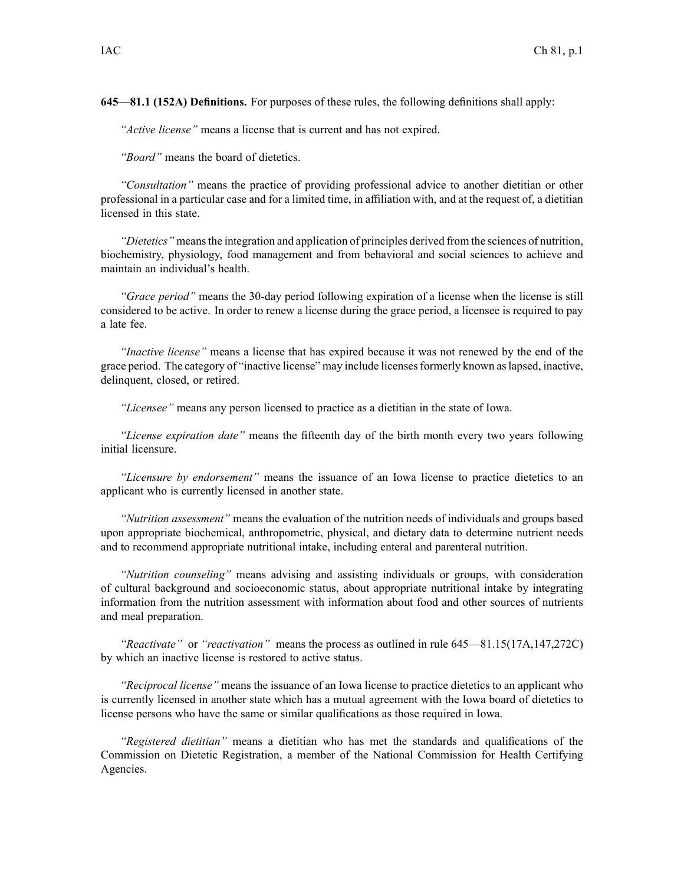**645—81.1 (152A) Definitions.** For purposes of these rules, the following definitions shall apply:

*"Active license"* means <sup>a</sup> license that is current and has not expired.

*"Board"* means the board of dietetics.

*"Consultation"* means the practice of providing professional advice to another dietitian or other professional in <sup>a</sup> particular case and for <sup>a</sup> limited time, in affiliation with, and at the reques<sup>t</sup> of, <sup>a</sup> dietitian licensed in this state.

*"Dietetics"* meansthe integration and application of principles derived from the sciences of nutrition, biochemistry, physiology, food managemen<sup>t</sup> and from behavioral and social sciences to achieve and maintain an individual's health.

*"Grace period"* means the 30-day period following expiration of <sup>a</sup> license when the license is still considered to be active. In order to renew <sup>a</sup> license during the grace period, <sup>a</sup> licensee is required to pay <sup>a</sup> late fee.

*"Inactive license"* means <sup>a</sup> license that has expired because it was not renewed by the end of the grace period. The category of "inactive license" may include licensesformerly known aslapsed, inactive, delinquent, closed, or retired.

*"Licensee"* means any person licensed to practice as <sup>a</sup> dietitian in the state of Iowa.

*"License expiration date"* means the fifteenth day of the birth month every two years following initial licensure.

*"Licensure by endorsement"* means the issuance of an Iowa license to practice dietetics to an applicant who is currently licensed in another state.

*"Nutrition assessment"* means the evaluation of the nutrition needs of individuals and groups based upon appropriate biochemical, anthropometric, physical, and dietary data to determine nutrient needs and to recommend appropriate nutritional intake, including enteral and parenteral nutrition.

*"Nutrition counseling"* means advising and assisting individuals or groups, with consideration of cultural background and socioeconomic status, about appropriate nutritional intake by integrating information from the nutrition assessment with information about food and other sources of nutrients and meal preparation.

*"Reactivate"* or *"reactivation"* means the process as outlined in rule 645—81.15(17A,147,272C) by which an inactive license is restored to active status.

*"Reciprocal license"* means the issuance of an Iowa license to practice dietetics to an applicant who is currently licensed in another state which has <sup>a</sup> mutual agreemen<sup>t</sup> with the Iowa board of dietetics to license persons who have the same or similar qualifications as those required in Iowa.

*"Registered dietitian"* means <sup>a</sup> dietitian who has met the standards and qualifications of the Commission on Dietetic Registration, <sup>a</sup> member of the National Commission for Health Certifying Agencies.